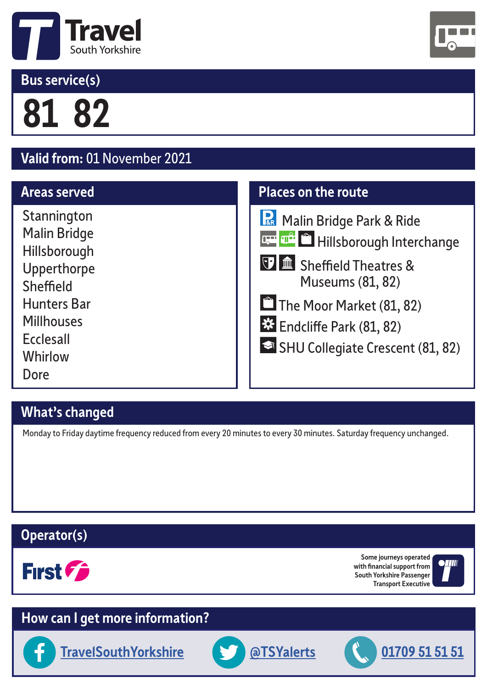

# **Bus service(s)**

**81 82** 

# **Valid from:** 01 November 2021

#### **Areas served**

**Stannington** Malin Bridge Hillsborough Upperthorpe Sheffield Hunters Bar **Millhouses Ecclesall Whirlow** Dore

# **What's changed**

Monday to Friday daytime frequency reduced from every 20 minutes to every 30 minutes. Saturday frequency unchanged.

### **Operator(s)**



**Some journeys operated with financial support from South Yorkshire Passenger Transport Executive**



# **How can I get more information?**











# **Places on the route**

| Malin Bridge Park & Ride                             |
|------------------------------------------------------|
| <b>L<sub>E</sub> The Hillsborough Interchange</b>    |
| T is Sheffield Theatres &<br><b>Museums (81, 82)</b> |
| The Moor Market (81, 82)                             |
| <b>Ext</b> Endcliffe Park (81, 82)                   |
| SHU Collegiate Crescent (81, 82)                     |
|                                                      |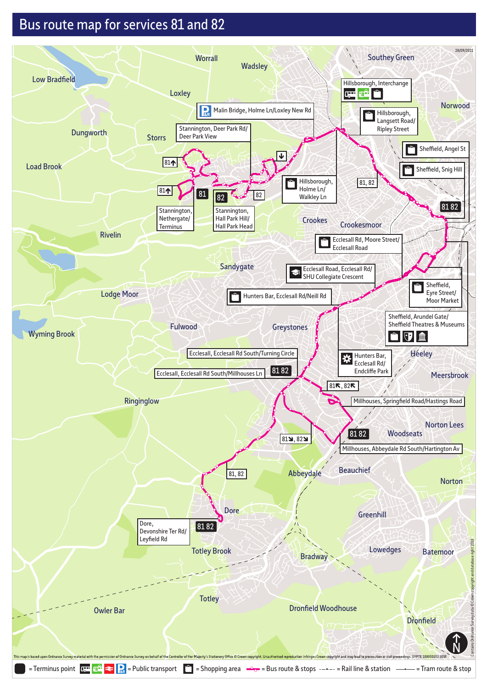# Bus route map for services 81 and 82

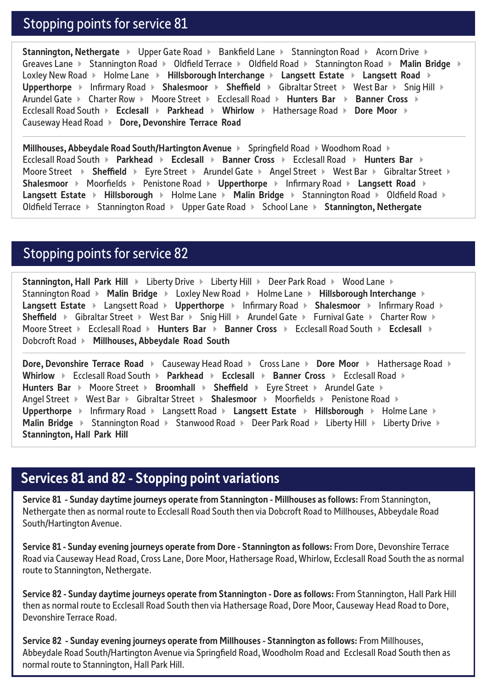#### Stopping points for service 81

**Stannington, Nethergate**  $\rightarrow$  Upper Gate Road  $\rightarrow$  Bankfield Lane  $\rightarrow$  Stannington Road  $\rightarrow$  Acorn Drive  $\rightarrow$ Greaves Lane > Stannington Road > Oldfield Terrace > Oldfield Road > Stannington Road > Malin Bridge > Loxley New Road ▶ Holme Lane ▶ Hillsborough Interchange ▶ Langsett Estate ▶ Langsett Road ▶ **Upperthorpe** ▶ Infirmary Road ▶ Shalesmoor ▶ Sheffield ▶ Gibraltar Street ▶ West Bar ▶ Snig Hill ▶ Arundel Gate ▶ Charter Row ▶ Moore Street ▶ Ecclesall Road ▶ Hunters Bar ▶ Banner Cross ▶ Ecclesall Road South ▶ Ecclesall ▶ Parkhead ▶ Whirlow ▶ Hathersage Road ▶ Dore Moor ▶ Causeway Head Road **Dore, Devonshire Terrace Road** 

**Millhouses, Abbeydale Road South/Hartington Avenue** > Springfield Road > Woodhom Road > Ecclesall Road South ▶ Parkhead ▶ Ecclesall ▶ Banner Cross ▶ Ecclesall Road ▶ Hunters Bar ▶ Moore Street **I** Sheffield **Eyre Street Arundel Gate Angel Street I** West Bar **Mest Bar Street A Shalesmoor > Moorfields > Penistone Road > Upperthorpe > Infirmary Road > Langsett Road > Langsett Estate > Hillsborough >** Holme Lane > Malin Bridge > Stannington Road > Oldfield Road > Oldfield Terrace ▶ Stannington Road ▶ Upper Gate Road ▶ School Lane ▶ Stannington, Nethergate

#### Stopping points for service 82

**Stannington, Hall Park Hill > Liberty Drive > Liberty Hill > Deer Park Road > Wood Lane >** Stannington Road **• Malin Bridge • Loxley New Road** • Holme Lane **• Hillsborough Interchange** • **Langsett Estate ▶ Langsett Road ▶ Upperthorpe ▶ Infirmary Road ▶ Shalesmoor ▶ Infirmary Road ▶** Sheffield **>** Gibraltar Street > West Bar > Snig Hill > Arundel Gate > Furnival Gate > Charter Row > Moore Street Ecclesall Road **Hunters Bar Banner Cross**  Ecclesall Road South **Ecclesall**  Dobcroft Road **Millhouses, Abbeydale Road South** 

**Dore, Devonshire Terrace Road ▶ Causeway Head Road ▶ Cross Lane ▶ Dore Moor ▶ Hathersage Road ▶** Whirlow  $\triangleright$  Ecclesall Road South  $\triangleright$  Parkhead  $\triangleright$  Ecclesall  $\triangleright$  Banner Cross  $\triangleright$  Ecclesall Road  $\triangleright$ **Hunters Bar ▶ Moore Street ▶ Broomhall ▶ Sheffield ▶ Eyre Street ▶ Arundel Gate ▶** Angel Street **Multimer Channel X Gibraltar Street Multimer Moorfields Multimers Road Multimers Road Multimers** Upperthorpe  $\rightarrow$  Infirmary Road  $\rightarrow$  Langsett Road  $\rightarrow$  Langsett Estate  $\rightarrow$  Hillsborough  $\rightarrow$  Holme Lane  $\rightarrow$ **Malin Bridge ▶ Stannington Road ▶ Stanwood Road ▶ Deer Park Road ▶ Liberty Hill ▶ Liberty Drive ▶ Stannington, Hall Park Hill** 

#### **Services 81 and 82 - Stopping point variations**

**Service 81 - Sunday daytime journeys operate from Stannington - Millhouses as follows:** From Stannington, Nethergate then as normal route to Ecclesall Road South then via Dobcroft Road to Millhouses, Abbeydale Road South/Hartington Avenue.

**Service 81 - Sunday evening journeys operate from Dore - Stannington as follows:** From Dore, Devonshire Terrace Road via Causeway Head Road, Cross Lane, Dore Moor, Hathersage Road, Whirlow, Ecclesall Road South the as normal route to Stannington, Nethergate.

**Service 82 - Sunday daytime journeys operate from Stannington - Dore as follows:** From Stannington, Hall Park Hill then as normal route to Ecclesall Road South then via Hathersage Road, Dore Moor, Causeway Head Road to Dore, Devonshire Terrace Road.

**Service 82 - Sunday evening journeys operate from Millhouses - Stannington as follows:** From Millhouses, Abbeydale Road South/Hartington Avenue via Springfield Road, Woodholm Road and Ecclesall Road South then as normal route to Stannington, Hall Park Hill.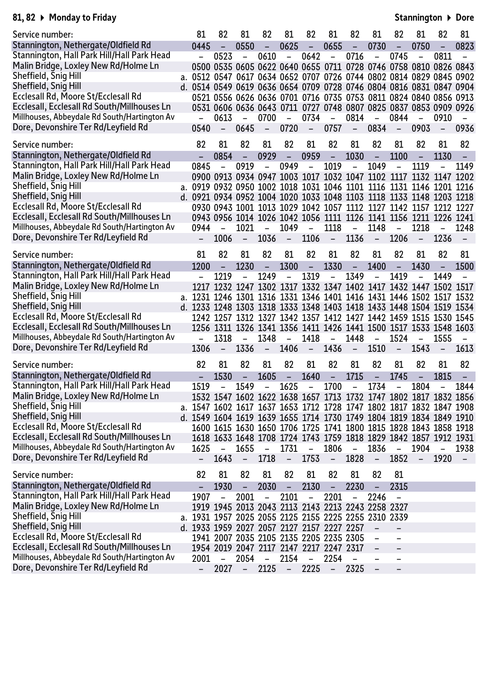#### **81, 82 Monday to Friday**

**Stannington Dore**

| Service number:                              | 81                                                                  | 82                       | 81                       | 82                       | 81                       | 82                       | 81                                                               | 82                       | 81                       | 82                       | 81                       | 82                       | 81                       |
|----------------------------------------------|---------------------------------------------------------------------|--------------------------|--------------------------|--------------------------|--------------------------|--------------------------|------------------------------------------------------------------|--------------------------|--------------------------|--------------------------|--------------------------|--------------------------|--------------------------|
| Stannington, Nethergate/Oldfield Rd          | 0445                                                                | $\overline{\phantom{0}}$ | 0550                     | $\equiv$                 | 0625                     | $\equiv$                 | 0655                                                             | $\equiv$                 | 0730                     | $\equiv$                 | 0750                     |                          | 0823                     |
| Stannington, Hall Park Hill/Hall Park Head   |                                                                     | 0523                     | $\equiv$                 | 0610                     | $\overline{\phantom{a}}$ | 0642                     | $\overline{a}$                                                   | 0716                     | $\equiv$                 | 0745                     | $\overline{\phantom{0}}$ | 0811                     |                          |
| Malin Bridge, Loxley New Rd/Holme Ln         |                                                                     |                          |                          |                          |                          |                          | 0500 0535 0605 0622 0640 0655 0711 0728 0746 0758 0810 0826 0843 |                          |                          |                          |                          |                          |                          |
| Sheffield, Snig Hill                         | a. 0512 0547 0617 0634 0652 0707 0726 0744 0802 0814 0829 0845 0902 |                          |                          |                          |                          |                          |                                                                  |                          |                          |                          |                          |                          |                          |
| Sheffield, Snig Hill                         | d. 0514 0549 0619 0636 0654 0709 0728 0746 0804 0816 0831 0847 0904 |                          |                          |                          |                          |                          |                                                                  |                          |                          |                          |                          |                          |                          |
| Ecclesall Rd, Moore St/Ecclesall Rd          |                                                                     |                          |                          |                          |                          |                          | 0521 0556 0626 0636 0701 0716 0735 0753 0811 0824 0840 0856 0913 |                          |                          |                          |                          |                          |                          |
| Ecclesall, Ecclesall Rd South/Millhouses Ln  |                                                                     |                          |                          |                          |                          |                          | 0531 0606 0636 0643 0711 0727 0748 0807 0825 0837 0853 0909 0926 |                          |                          |                          |                          |                          |                          |
| Millhouses, Abbeydale Rd South/Hartington Av |                                                                     | 0613                     | $\overline{\phantom{a}}$ | 0700                     | $\overline{\phantom{a}}$ | 0734                     | $\overline{\phantom{0}}$                                         | 0814                     | $\overline{\phantom{0}}$ | 0844                     |                          | 0910                     |                          |
| Dore, Devonshire Ter Rd/Leyfield Rd          | 0540                                                                | $\overline{\phantom{a}}$ | 0645                     | $\overline{\phantom{a}}$ | 0720                     | $ \,$                    | 0757                                                             | $ \,$                    | 0834                     | $\sim$ .                 | 0903                     | $\overline{\phantom{a}}$ | 0936                     |
|                                              |                                                                     |                          |                          |                          |                          |                          |                                                                  |                          |                          |                          |                          |                          |                          |
| Service number:                              | 82                                                                  | 81                       | 82                       | 81                       | 82                       | 81                       | 82                                                               | 81                       | 82                       | 81                       | 82                       | 81                       | 82                       |
| Stannington, Nethergate/Oldfield Rd          |                                                                     | 0854                     | $\equiv$                 | 0929                     | $\equiv$                 | 0959                     | $\overline{\phantom{0}}$                                         | 1030                     | $\overline{\phantom{a}}$ | 1100                     | $\overline{\phantom{0}}$ | 1130                     | $\blacksquare$           |
| Stannington, Hall Park Hill/Hall Park Head   | 0845                                                                |                          | 0919                     | $\overline{\phantom{0}}$ | 0949                     | $\overline{a}$           | 1019                                                             | $\overline{a}$           | 1049                     | $\overline{a}$           | 1119                     |                          | 1149                     |
| Malin Bridge, Loxley New Rd/Holme Ln         |                                                                     |                          |                          |                          |                          |                          | 0900 0913 0934 0947 1003 1017 1032 1047 1102 1117 1132 1147 1202 |                          |                          |                          |                          |                          |                          |
| Sheffield, Snig Hill                         | a. 0919 0932 0950 1002 1018 1031 1046 1101 1116 1131 1146 1201 1216 |                          |                          |                          |                          |                          |                                                                  |                          |                          |                          |                          |                          |                          |
| Sheffield, Snig Hill                         | d. 0921 0934 0952 1004 1020 1033 1048 1103 1118 1133 1148 1203 1218 |                          |                          |                          |                          |                          |                                                                  |                          |                          |                          |                          |                          |                          |
| Ecclesall Rd, Moore St/Ecclesall Rd          |                                                                     |                          |                          |                          |                          |                          | 0930 0943 1001 1013 1029 1042 1057 1112 1127 1142 1157 1212 1227 |                          |                          |                          |                          |                          |                          |
| Ecclesall, Ecclesall Rd South/Millhouses Ln  |                                                                     |                          |                          |                          |                          |                          | 0943 0956 1014 1026 1042 1056 1111 1126 1141 1156 1211 1226 1241 |                          |                          |                          |                          |                          |                          |
| Millhouses, Abbeydale Rd South/Hartington Av | 0944                                                                | $\qquad \qquad -$        | 1021                     | $\overline{\phantom{0}}$ | 1049                     | $\equiv$                 | 1118                                                             | $\blacksquare$           | 1148                     | $\overline{\phantom{0}}$ | 1218                     | $\equiv$                 | 1248                     |
| Dore, Devonshire Ter Rd/Leyfield Rd          | $-$                                                                 | 1006                     | $\sim$                   | 1036                     | $\sim$                   | 1106                     | $\sim$ $-$                                                       | 1136                     | $\sim$                   | 1206                     | $\sim$ $-$               | 1236                     | $\sim$ $-$               |
|                                              |                                                                     |                          |                          |                          |                          |                          |                                                                  |                          |                          |                          |                          |                          |                          |
| Service number:                              | 81                                                                  | 82                       | 81                       | 82                       | 81                       | 82                       | 81                                                               | 82                       | 81                       | 82                       | 81                       | 82                       | 81                       |
| Stannington, Nethergate/Oldfield Rd          | 1200                                                                | $\equiv$                 | 1230                     | $\overline{\phantom{a}}$ | 1300                     | $\equiv$                 | 1330                                                             | $\overline{\phantom{a}}$ | 1400                     | $\overline{\phantom{0}}$ | 1430                     | $\equiv$                 | 1500                     |
| Stannington, Hall Park Hill/Hall Park Head   | $\overline{\phantom{0}}$                                            | 1219                     | $\overline{\phantom{0}}$ | 1249                     | $\equiv$                 | 1319                     | $\qquad \qquad -$                                                | 1349                     | $\overline{a}$           | 1419                     | $\overline{\phantom{0}}$ | 1449                     |                          |
| Malin Bridge, Loxley New Rd/Holme Ln         | 1217                                                                |                          |                          |                          |                          |                          | 1232 1247 1302 1317 1332 1347 1402 1417 1432 1447 1502 1517      |                          |                          |                          |                          |                          |                          |
| Sheffield, Snig Hill                         | a. 1231 1246 1301 1316 1331 1346 1401 1416 1431 1446 1502 1517 1532 |                          |                          |                          |                          |                          |                                                                  |                          |                          |                          |                          |                          |                          |
| Sheffield, Snig Hill                         | d. 1233 1248 1303 1318 1333 1348 1403 1418 1433 1448 1504 1519 1534 |                          |                          |                          |                          |                          |                                                                  |                          |                          |                          |                          |                          |                          |
| Ecclesall Rd, Moore St/Ecclesall Rd          |                                                                     |                          |                          |                          |                          |                          | 1242 1257 1312 1327 1342 1357 1412 1427 1442 1459 1515 1530 1545 |                          |                          |                          |                          |                          |                          |
| Ecclesall, Ecclesall Rd South/Millhouses Ln  |                                                                     |                          |                          |                          |                          |                          | 1256 1311 1326 1341 1356 1411 1426 1441 1500 1517 1533 1548 1603 |                          |                          |                          |                          |                          |                          |
| Millhouses, Abbeydale Rd South/Hartington Av |                                                                     | 1318                     |                          | 1348                     | $\equiv$                 | 1418                     | $\overline{a}$                                                   | 1448                     | $\overline{a}$           | 1524                     |                          | 1555                     |                          |
| Dore, Devonshire Ter Rd/Leyfield Rd          | 1306                                                                | $\overline{\phantom{m}}$ | 1336                     | $\overline{\phantom{a}}$ | 1406                     | $ \,$                    | 1436                                                             | $\overline{\phantom{a}}$ | 1510                     | $\overline{\phantom{a}}$ | 1543                     | $\overline{\phantom{m}}$ | 1613                     |
|                                              |                                                                     |                          |                          |                          |                          |                          |                                                                  |                          |                          |                          |                          |                          |                          |
| Service number:                              | 82                                                                  | 81                       | 82                       | 81                       | 82                       | 81                       | 82                                                               | 81                       | 82                       | 81                       | 82                       | 81                       | 82                       |
| Stannington, Nethergate/Oldfield Rd          | $\overline{\phantom{0}}$                                            | 1530                     | $\overline{\phantom{0}}$ | 1605                     | $\equiv$                 | 1640                     | $\overline{\phantom{a}}$                                         | 1715                     | $\overline{\phantom{a}}$ | 1745                     | $\overline{\phantom{0}}$ | 1815                     | $\overline{\phantom{a}}$ |
| Stannington, Hall Park Hill/Hall Park Head   | 1519                                                                |                          | 1549                     | $\overline{\phantom{0}}$ | 1625                     | $\overline{\phantom{0}}$ | 1700                                                             | $\overline{\phantom{0}}$ | 1734                     | $\overline{\phantom{0}}$ | 1804                     | $\equiv$                 | 1844                     |
| Malin Bridge, Loxley New Rd/Holme Ln         |                                                                     |                          |                          |                          |                          |                          | 1532 1547 1602 1622 1638 1657 1713 1732 1747 1802 1817 1832 1856 |                          |                          |                          |                          |                          |                          |
| Sheffield, Snig Hill                         | a. 1547 1602 1617 1637 1653 1712 1728 1747 1802 1817 1832 1847 1908 |                          |                          |                          |                          |                          |                                                                  |                          |                          |                          |                          |                          |                          |
| Sheffield, Snig Hill                         | d. 1549 1604 1619 1639 1655 1714 1730 1749 1804 1819 1834 1849 1910 |                          |                          |                          |                          |                          |                                                                  |                          |                          |                          |                          |                          |                          |
| Ecclesall Rd, Moore St/Ecclesall Rd          |                                                                     |                          |                          |                          |                          |                          | 1600 1615 1630 1650 1706 1725 1741 1800 1815 1828 1843 1858 1918 |                          |                          |                          |                          |                          |                          |
| Ecclesall, Ecclesall Rd South/Millhouses Ln  |                                                                     |                          |                          |                          |                          |                          | 1618 1633 1648 1708 1724 1743 1759 1818 1829 1842 1857 1912 1931 |                          |                          |                          |                          |                          |                          |
| Millhouses, Abbeydale Rd South/Hartington Av | 1625                                                                | $\overline{\phantom{m}}$ | 1655                     | $\overline{\phantom{a}}$ | 1731                     | $\qquad \qquad -$        | 1806                                                             | $\overline{\phantom{a}}$ | 1836                     | $\overline{\phantom{a}}$ | 1904                     | $\overline{\phantom{a}}$ | 1938                     |
| Dore, Devonshire Ter Rd/Leyfield Rd          | $\overline{\phantom{a}}$                                            | 1643                     | $\overline{\phantom{a}}$ | 1718                     | $\overline{\phantom{m}}$ | 1753                     | $\overline{\phantom{a}}$                                         | 1828                     | $\overline{\phantom{m}}$ | 1852                     | $\qquad \qquad -$        | 1920                     | $\sim$                   |
|                                              |                                                                     |                          |                          |                          |                          |                          |                                                                  |                          |                          |                          |                          |                          |                          |
| Service number:                              | 82                                                                  | 81                       | 82                       | 81                       | 82                       | 81                       | 82                                                               | 81                       | 82                       | 81                       |                          |                          |                          |
| Stannington, Nethergate/Oldfield Rd          | -                                                                   | 1930                     | Ξ.                       | 2030                     | $\overline{\phantom{a}}$ | 2130                     | $\qquad \qquad -$                                                | 2230                     | $\overline{\phantom{a}}$ | 2315                     |                          |                          |                          |
| Stannington, Hall Park Hill/Hall Park Head   | 1907                                                                |                          | 2001                     |                          | 2101                     | $\overline{\phantom{0}}$ | 2201                                                             | -                        | 2246                     | $\overline{\phantom{0}}$ |                          |                          |                          |
| Malin Bridge, Loxley New Rd/Holme Ln         |                                                                     |                          |                          |                          |                          |                          | 1919 1945 2013 2043 2113 2143 2213 2243 2258 2327                |                          |                          |                          |                          |                          |                          |
| Sheffield, Snig Hill                         | a. 1931 1957 2025 2055 2125 2155 2225 2255 2310 2339                |                          |                          |                          |                          |                          |                                                                  |                          |                          |                          |                          |                          |                          |
| Sheffield, Snig Hill                         | d. 1933 1959 2027 2057 2127 2157 2227 2257                          |                          |                          |                          |                          |                          |                                                                  |                          |                          |                          |                          |                          |                          |
| Ecclesall Rd, Moore St/Ecclesall Rd          |                                                                     |                          |                          |                          |                          |                          | 1941 2007 2035 2105 2135 2205 2235 2305                          |                          |                          | $\overline{\phantom{0}}$ |                          |                          |                          |
| Ecclesall, Ecclesall Rd South/Millhouses Ln  |                                                                     |                          |                          |                          |                          |                          | 1954 2019 2047 2117 2147 2217 2247 2317                          |                          |                          | $\qquad \qquad -$        |                          |                          |                          |
| Millhouses, Abbeydale Rd South/Hartington Av | 2001                                                                |                          | 2054                     | $\overline{\phantom{0}}$ | 2154                     | $\overline{\phantom{0}}$ | 2254                                                             |                          |                          | $\overline{\phantom{0}}$ |                          |                          |                          |
| Dore, Devonshire Ter Rd/Leyfield Rd          |                                                                     | 2027                     | -                        | 2125                     | $\overline{\phantom{a}}$ | 2225                     | $\qquad \qquad -$                                                | 2325                     |                          | $\qquad \qquad -$        |                          |                          |                          |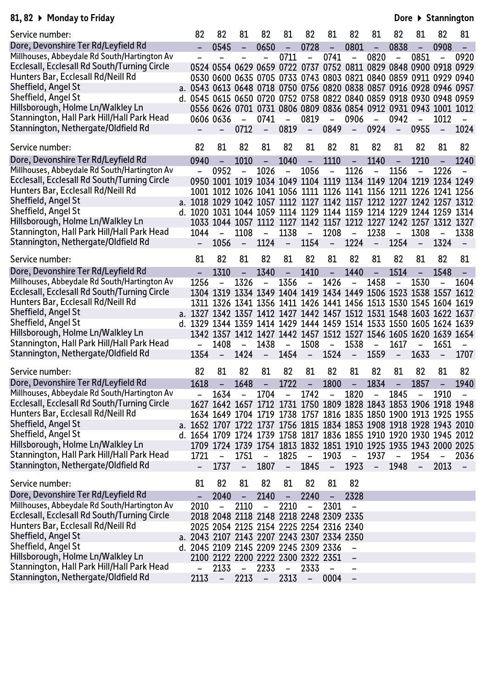#### **81, 82 Monday to Friday**

**Dore Stannington**

| Service number:                              | 82                                                                  | 82                       | 81                       | 82                                      | 81                       | 82                       | 81                       | 82                       | 81                       | 82                       | 81                                                               | 82                       | 81                       |
|----------------------------------------------|---------------------------------------------------------------------|--------------------------|--------------------------|-----------------------------------------|--------------------------|--------------------------|--------------------------|--------------------------|--------------------------|--------------------------|------------------------------------------------------------------|--------------------------|--------------------------|
| Dore, Devonshire Ter Rd/Leyfield Rd          |                                                                     | 0545                     | $\equiv$                 | 0650                                    | $\equiv$                 | 0728                     | $\Box$                   | 0801                     | $\Box$                   | 0838                     | ÷,                                                               | 0908                     |                          |
| Millhouses, Abbeydale Rd South/Hartington Av |                                                                     |                          |                          | $\equiv$                                | 0711                     | $\blacksquare$           | 0741                     | $\overline{\phantom{0}}$ | 0820                     | $\overline{\phantom{a}}$ | 0851                                                             | $\overline{\phantom{0}}$ | 0920                     |
| Ecclesall, Ecclesall Rd South/Turning Circle |                                                                     |                          |                          |                                         |                          |                          |                          |                          |                          |                          | 0524 0554 0629 0659 0722 0737 0752 0811 0829 0848 0900 0918 0929 |                          |                          |
| Hunters Bar, Ecclesall Rd/Neill Rd           |                                                                     |                          |                          |                                         |                          |                          |                          |                          |                          |                          | 0530 0600 0635 0705 0733 0743 0803 0821 0840 0859 0911 0929 0940 |                          |                          |
| Sheffield, Angel St                          | a. 0543 0613 0648 0718 0750 0756 0820 0838 0857 0916 0928 0946 0957 |                          |                          |                                         |                          |                          |                          |                          |                          |                          |                                                                  |                          |                          |
| Sheffield, Angel St                          | d. 0545 0615 0650 0720 0752 0758 0822 0840 0859 0918 0930 0948 0959 |                          |                          |                                         |                          |                          |                          |                          |                          |                          |                                                                  |                          |                          |
| Hillsborough, Holme Ln/Walkley Ln            |                                                                     |                          |                          |                                         |                          |                          |                          |                          |                          |                          | 0556 0626 0701 0731 0806 0809 0836 0854 0912 0931 0943 1001 1012 |                          |                          |
| Stannington, Hall Park Hill/Hall Park Head   |                                                                     | 0606 0636                | $\overline{\phantom{a}}$ | 0741                                    | $\overline{\phantom{a}}$ | 0819                     | $\overline{\phantom{a}}$ | 0906                     | $\overline{\phantom{a}}$ | 0942                     | $\overline{\phantom{0}}$                                         | 1012                     |                          |
| Stannington, Nethergate/Oldfield Rd          |                                                                     | $-$                      | 0712                     | $-$                                     | 0819                     | $\equiv$ $\equiv$        | 0849                     | $\sim$                   | 0924                     | $ \,$                    | 0955                                                             | $\equiv$                 | 1024                     |
| Service number:                              | 82                                                                  | 81                       | 82                       | 81                                      | 82                       | 81                       | 82                       | 81                       | 82                       | 81                       | 82                                                               | 81                       | 82                       |
|                                              |                                                                     |                          |                          |                                         |                          |                          |                          |                          |                          |                          |                                                                  |                          |                          |
| Dore, Devonshire Ter Rd/Leyfield Rd          | 0940                                                                | $\equiv$                 | 1010                     | $\blacksquare$                          | 1040                     | $\equiv$                 | 1110                     | $\equiv$                 | 1140                     | $\blacksquare$           | 1210                                                             | $\blacksquare$           | 1240                     |
| Millhouses, Abbeydale Rd South/Hartington Av |                                                                     | 0952                     | $\qquad \qquad -$        | 1026                                    | $\overline{\phantom{a}}$ | 1056                     | $\overline{\phantom{a}}$ | 1126                     | $\qquad \qquad -$        | 1156                     |                                                                  | 1226                     |                          |
| Ecclesall, Ecclesall Rd South/Turning Circle |                                                                     |                          |                          |                                         |                          |                          |                          |                          |                          |                          | 0950 1001 1019 1034 1049 1104 1119 1134 1149 1204 1219 1234 1249 |                          |                          |
| Hunters Bar, Ecclesall Rd/Neill Rd           |                                                                     |                          |                          |                                         |                          |                          |                          |                          |                          |                          | 1001 1012 1026 1041 1056 1111 1126 1141 1156 1211 1226 1241 1256 |                          |                          |
| Sheffield, Angel St                          | a. 1018 1029 1042 1057 1112 1127 1142 1157 1212 1227 1242 1257 1312 |                          |                          |                                         |                          |                          |                          |                          |                          |                          |                                                                  |                          |                          |
| Sheffield, Angel St                          | d. 1020 1031 1044 1059 1114 1129 1144 1159 1214 1229 1244 1259 1314 |                          |                          |                                         |                          |                          |                          |                          |                          |                          |                                                                  |                          |                          |
| Hillsborough, Holme Ln/Walkley Ln            |                                                                     |                          |                          |                                         |                          |                          |                          |                          |                          |                          | 1033 1044 1057 1112 1127 1142 1157 1212 1227 1242 1257 1312 1327 |                          |                          |
| Stannington, Hall Park Hill/Hall Park Head   | 1044                                                                | $\overline{\phantom{a}}$ | 1108                     | $\blacksquare$                          | 1138                     | $\sim$ $ \sim$           | 1208                     | $\sim$ $ \sim$           | 1238                     | $\blacksquare$           | 1308                                                             | $\equiv$                 | 1338                     |
| Stannington, Nethergate/Oldfield Rd          | $ \,$                                                               | 1056                     | $\overline{\phantom{a}}$ | 1124                                    | $\sim$ $^{-1}$           | 1154                     | $\overline{\phantom{a}}$ | 1224                     | $\overline{\phantom{a}}$ | 1254                     | $\overline{\phantom{m}}$                                         | 1324                     | $\overline{\phantom{m}}$ |
| Service number:                              | 81                                                                  | 82                       | 81                       | 82                                      | 81                       | 82                       | 81                       | 82                       | 81                       | 82                       | 81                                                               | 82                       | 81                       |
| Dore, Devonshire Ter Rd/Leyfield Rd          |                                                                     | 1310                     | $\equiv$                 | 1340                                    | $\overline{\phantom{0}}$ | 1410                     | $\overline{\phantom{0}}$ | 1440                     | $\overline{\phantom{a}}$ | 1514                     | $\overline{\phantom{0}}$                                         | 1548                     |                          |
| Millhouses, Abbeydale Rd South/Hartington Av | 1256                                                                |                          | 1326                     | $\overline{\phantom{a}}$                | 1356                     | $\equiv$                 | 1426                     | $\equiv$                 | 1458                     | $\overline{\phantom{0}}$ | 1530                                                             | $\overline{a}$           | 1604                     |
| Ecclesall, Ecclesall Rd South/Turning Circle |                                                                     |                          |                          |                                         |                          |                          |                          |                          |                          |                          | 1304 1319 1334 1349 1404 1419 1434 1449 1506 1523 1538 1557 1612 |                          |                          |
| Hunters Bar, Ecclesall Rd/Neill Rd           |                                                                     |                          |                          |                                         |                          |                          |                          |                          |                          |                          | 1311 1326 1341 1356 1411 1426 1441 1456 1513 1530 1545 1604 1619 |                          |                          |
| Sheffield, Angel St                          | a. 1327 1342 1357 1412 1427 1442 1457 1512 1531 1548 1603 1622 1637 |                          |                          |                                         |                          |                          |                          |                          |                          |                          |                                                                  |                          |                          |
| Sheffield, Angel St                          | d. 1329 1344 1359 1414 1429 1444 1459 1514 1533 1550 1605 1624 1639 |                          |                          |                                         |                          |                          |                          |                          |                          |                          |                                                                  |                          |                          |
| Hillsborough, Holme Ln/Walkley Ln            |                                                                     |                          |                          |                                         |                          |                          |                          |                          |                          |                          | 1342 1357 1412 1427 1442 1457 1512 1527 1546 1605 1620 1639 1654 |                          |                          |
| Stannington, Hall Park Hill/Hall Park Head   |                                                                     | 1408                     | $\overline{\phantom{a}}$ | 1438                                    | $\overline{\phantom{a}}$ | 1508                     | $\overline{\phantom{a}}$ | 1538                     | $\overline{\phantom{a}}$ | 1617                     | $\qquad \qquad -$                                                | 1651                     | $\overline{\phantom{0}}$ |
| Stannington, Nethergate/Oldfield Rd          | 1354                                                                | $-$                      |                          | $1424 -$                                | 1454                     | $\sim$ $ \sim$           | 1524                     | $ \,$                    | 1559                     | $\equiv$                 | 1633                                                             | $\overline{\phantom{a}}$ | 1707                     |
|                                              |                                                                     |                          |                          |                                         |                          |                          |                          |                          |                          |                          |                                                                  |                          |                          |
| Service number:                              | 82                                                                  | 81                       | 82                       | 81                                      | 82                       | 81                       | 82                       | 81                       | 82                       | 81                       | 82                                                               | 81                       | 82                       |
| Dore, Devonshire Ter Rd/Leyfield Rd          | 1618                                                                | $\equiv$                 | 1648                     | $\equiv$                                | 1722                     | $\overline{\phantom{a}}$ | 1800                     | $\overline{\phantom{a}}$ | 1834                     | $\overline{\phantom{a}}$ | 1857                                                             | $\equiv$                 | 1940                     |
| Millhouses, Abbeydale Rd South/Hartington Av |                                                                     | 1634                     |                          | $- 1704$                                |                          | - 1742                   |                          | - 1820                   | $\sim$                   | 1845                     |                                                                  | 1910                     |                          |
| Ecclesall, Ecclesall Rd South/Turning Circle |                                                                     |                          |                          |                                         |                          |                          |                          |                          |                          |                          | 1627 1642 1657 1712 1731 1750 1809 1828 1843 1853 1906 1918 1948 |                          |                          |
| Hunters Bar, Ecclesall Rd/Neill Rd           |                                                                     |                          |                          |                                         |                          |                          |                          |                          |                          |                          | 1634 1649 1704 1719 1738 1757 1816 1835 1850 1900 1913 1925 1955 |                          |                          |
| Sheffield, Angel St                          | a. 1652 1707 1722 1737 1756 1815 1834 1853 1908 1918 1928 1943 2010 |                          |                          |                                         |                          |                          |                          |                          |                          |                          |                                                                  |                          |                          |
| Sheffield, Angel St                          | d. 1654 1709 1724 1739 1758 1817 1836 1855 1910 1920 1930 1945 2012 |                          |                          |                                         |                          |                          |                          |                          |                          |                          |                                                                  |                          |                          |
| Hillsborough, Holme Ln/Walkley Ln            |                                                                     |                          |                          |                                         |                          |                          |                          |                          |                          |                          | 1709 1724 1739 1754 1813 1832 1851 1910 1925 1935 1943 2000 2025 |                          |                          |
| Stannington, Hall Park Hill/Hall Park Head   | 1721                                                                |                          | 1751                     | $\qquad \qquad -$                       | 1825                     | $\overline{\phantom{0}}$ | 1903                     | $\overline{\phantom{0}}$ | 1937                     | -                        | 1954                                                             |                          | 2036                     |
| Stannington, Nethergate/Oldfield Rd          |                                                                     | 1737                     | $\qquad \qquad -$        | 1807                                    | $\overline{\phantom{a}}$ | 1845                     | $\overline{\phantom{m}}$ | 1923                     | $\overline{\phantom{m}}$ | 1948                     | $\overline{\phantom{a}}$                                         | 2013                     | $\overline{\phantom{0}}$ |
| Service number:                              | 81                                                                  | 82                       | 81                       | 82                                      | 81                       | 82                       | 81                       | 82                       |                          |                          |                                                                  |                          |                          |
| Dore, Devonshire Ter Rd/Leyfield Rd          |                                                                     | 2040                     |                          | 2140                                    | -                        | 2240                     |                          | 2328                     |                          |                          |                                                                  |                          |                          |
| Millhouses, Abbeydale Rd South/Hartington Av | 2010                                                                |                          | 2110                     | $\overline{\phantom{0}}$                | 2210                     | -                        | 2301                     | $\overline{\phantom{0}}$ |                          |                          |                                                                  |                          |                          |
| Ecclesall, Ecclesall Rd South/Turning Circle |                                                                     |                          |                          | 2018 2048 2118 2148 2218 2248 2309 2335 |                          |                          |                          |                          |                          |                          |                                                                  |                          |                          |
| Hunters Bar, Ecclesall Rd/Neill Rd           |                                                                     |                          |                          | 2025 2054 2125 2154 2225 2254 2316 2340 |                          |                          |                          |                          |                          |                          |                                                                  |                          |                          |
| Sheffield, Angel St                          | a. 2043 2107 2143 2207 2243 2307 2334 2350                          |                          |                          |                                         |                          |                          |                          |                          |                          |                          |                                                                  |                          |                          |
| Sheffield, Angel St                          | d. 2045 2109 2145 2209 2245 2309 2336                               |                          |                          |                                         |                          |                          |                          |                          |                          |                          |                                                                  |                          |                          |
| Hillsborough, Holme Ln/Walkley Ln            |                                                                     |                          |                          | 2100 2122 2200 2222 2300 2322 2351      |                          |                          |                          |                          |                          |                          |                                                                  |                          |                          |
| Stannington, Hall Park Hill/Hall Park Head   |                                                                     | 2133                     | $\overline{\phantom{a}}$ | 2233                                    | $\overline{\phantom{a}}$ | 2333                     | $\overline{\phantom{a}}$ | $\qquad \qquad$          |                          |                          |                                                                  |                          |                          |
| Stannington, Nethergate/Oldfield Rd          | 2113                                                                | $\overline{\phantom{a}}$ | 2213                     | $\overline{\phantom{a}}$                | 2313                     | $\overline{\phantom{a}}$ | 0004                     |                          |                          |                          |                                                                  |                          |                          |
|                                              |                                                                     |                          |                          |                                         |                          |                          |                          |                          |                          |                          |                                                                  |                          |                          |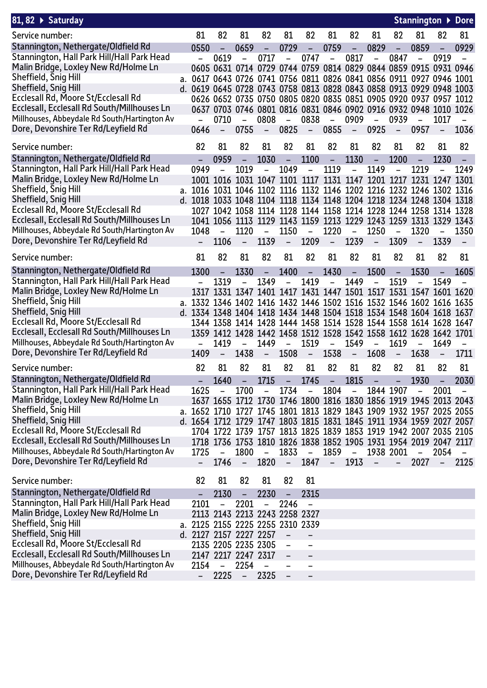| 81, 82 $\rightarrow$ Saturday                                                               |                                                                                                                                            |                                  |                                  |                                  |                               |                          |                          |                          |                                                   |                          |                                  |                                                                  | Stannington ▶ Dore       |
|---------------------------------------------------------------------------------------------|--------------------------------------------------------------------------------------------------------------------------------------------|----------------------------------|----------------------------------|----------------------------------|-------------------------------|--------------------------|--------------------------|--------------------------|---------------------------------------------------|--------------------------|----------------------------------|------------------------------------------------------------------|--------------------------|
| Service number:                                                                             | 81                                                                                                                                         | 82                               | 81                               | 82                               | 81                            | 82                       | 81                       | 82                       | 81                                                | 82                       | 81                               | 82                                                               | 81                       |
| Stannington, Nethergate/Oldfield Rd                                                         | 0550                                                                                                                                       |                                  | 0659                             | $\overline{\phantom{a}}$         | 0729                          | $\overline{\phantom{a}}$ | 0759                     | $\overline{\phantom{m}}$ | 0829                                              |                          | 0859                             |                                                                  | 0929                     |
| Stannington, Hall Park Hill/Hall Park Head                                                  |                                                                                                                                            | 0619                             |                                  | 0717                             | $\overline{\phantom{0}}$      | 0747                     | $\overline{\phantom{a}}$ | 0817                     | $\qquad \qquad -$                                 | 0847                     |                                  | 0919                                                             |                          |
| Malin Bridge, Loxley New Rd/Holme Ln                                                        |                                                                                                                                            |                                  |                                  |                                  |                               |                          |                          |                          |                                                   |                          |                                  | 0605 0631 0714 0729 0744 0759 0814 0829 0844 0859 0915 0931 0946 |                          |
| Sheffield, Snig Hill                                                                        | a. 0617 0643 0726 0741 0756 0811 0826 0841 0856 0911 0927 0946 1001                                                                        |                                  |                                  |                                  |                               |                          |                          |                          |                                                   |                          |                                  |                                                                  |                          |
| Sheffield, Snig Hill                                                                        | d. 0619 0645 0728 0743 0758 0813 0828 0843 0858 0913 0929 0948 1003                                                                        |                                  |                                  |                                  |                               |                          |                          |                          |                                                   |                          |                                  |                                                                  |                          |
| Ecclesall Rd, Moore St/Ecclesall Rd                                                         |                                                                                                                                            |                                  |                                  |                                  |                               |                          |                          |                          |                                                   |                          |                                  | 0626 0652 0735 0750 0805 0820 0835 0851 0905 0920 0937 0957 1012 |                          |
| Ecclesall, Ecclesall Rd South/Millhouses Ln<br>Millhouses, Abbeydale Rd South/Hartington Av |                                                                                                                                            |                                  |                                  |                                  |                               |                          |                          |                          |                                                   |                          |                                  | 0637 0703 0746 0801 0816 0831 0846 0902 0916 0932 0948 1010 1026 |                          |
| Dore, Devonshire Ter Rd/Leyfield Rd                                                         | 0646                                                                                                                                       | 0710<br>$\overline{\phantom{a}}$ | $\blacksquare$<br>0755           | 0808<br>$\sim$                   | $\sim$ $^{-1}$<br>0825        | 0838<br>$\sim$ $ \sim$   | $\equiv$<br>0855         | 0909<br>$\sim$ $-$       | $\blacksquare$<br>0925                            | 0939<br>$\equiv$         | $\overline{\phantom{0}}$<br>0957 | 1017<br>$\sim$                                                   | 1036                     |
|                                                                                             |                                                                                                                                            |                                  |                                  |                                  |                               |                          |                          |                          |                                                   |                          |                                  |                                                                  |                          |
| Service number:                                                                             | 82                                                                                                                                         | 81                               | 82                               | 81                               | 82                            | 81                       | 82                       | 81                       | 82                                                | 81                       | 82                               | 81                                                               | 82                       |
| Stannington, Nethergate/Oldfield Rd                                                         |                                                                                                                                            | 0959                             | $\equiv$                         | 1030                             | $\equiv$                      | 1100                     | $\blacksquare$           | 1130                     | $\equiv$                                          | 1200                     |                                  | 1230                                                             |                          |
| Stannington, Hall Park Hill/Hall Park Head                                                  | 0949                                                                                                                                       |                                  | 1019                             | $\overline{\phantom{0}}$         | 1049                          | $\overline{\phantom{a}}$ | 1119                     | $\equiv$                 | 1149                                              |                          | 1219                             |                                                                  | 1249                     |
| Malin Bridge, Loxley New Rd/Holme Ln                                                        |                                                                                                                                            |                                  |                                  |                                  |                               |                          |                          |                          | 1001 1016 1031 1047 1101 1117 1131 1147 1201 1217 |                          |                                  | 1231 1247 1301                                                   |                          |
| Sheffield, Snig Hill<br>Sheffield, Snig Hill                                                | a. 1016 1031 1046 1102 1116 1132 1146 1202 1216 1232 1246 1302 1316                                                                        |                                  |                                  |                                  |                               |                          |                          |                          |                                                   |                          |                                  |                                                                  |                          |
| Ecclesall Rd, Moore St/Ecclesall Rd                                                         | d. 1018 1033 1048 1104 1118 1134 1148 1204 1218 1234 1248 1304 1318                                                                        |                                  |                                  |                                  |                               |                          |                          |                          |                                                   |                          |                                  | 1027 1042 1058 1114 1128 1144 1158 1214 1228 1244 1258 1314 1328 |                          |
| Ecclesall, Ecclesall Rd South/Millhouses Ln                                                 |                                                                                                                                            |                                  |                                  |                                  |                               |                          |                          |                          |                                                   |                          |                                  | 1041 1056 1113 1129 1143 1159 1213 1229 1243 1259 1313 1329 1343 |                          |
| Millhouses, Abbeydale Rd South/Hartington Av                                                | 1048                                                                                                                                       | $\equiv$                         | 1120                             | $\overline{\phantom{a}}$         | 1150                          | $\overline{\phantom{a}}$ | 1220                     | $\sim$                   | 1250                                              | $\overline{\phantom{a}}$ | 1320                             | $\overline{\phantom{0}}$                                         | 1350                     |
| Dore, Devonshire Ter Rd/Leyfield Rd                                                         |                                                                                                                                            | 1106                             | $\overline{\phantom{a}}$         | 1139                             | $\overline{\phantom{a}}$      | 1209                     | $\overline{\phantom{a}}$ | 1239                     | $\overline{\phantom{a}}$                          | 1309                     | $\overline{\phantom{a}}$         | 1339                                                             | $\overline{\phantom{a}}$ |
| Service number:                                                                             | 81                                                                                                                                         | 82                               | 81                               | 82                               | 81                            | 82                       | 81                       | 82                       | 81                                                | 82                       | 81                               | 82                                                               | 81                       |
| Stannington, Nethergate/Oldfield Rd                                                         | 1300                                                                                                                                       | $\qquad \qquad -$                | 1330                             | $\overline{\phantom{a}}$         | 1400                          | $\overline{\phantom{m}}$ | 1430                     | $\overline{\phantom{a}}$ | 1500                                              | $\equiv$                 | 1530                             | $\overline{\phantom{a}}$                                         | 1605                     |
| Stannington, Hall Park Hill/Hall Park Head                                                  |                                                                                                                                            | 1319                             |                                  | 1349                             | $\overline{\phantom{0}}$      | 1419                     | $\qquad \qquad -$        | 1449                     | $\equiv$                                          | 1519                     |                                  | 1549                                                             |                          |
| Malin Bridge, Loxley New Rd/Holme Ln                                                        | 1317                                                                                                                                       |                                  |                                  |                                  |                               |                          |                          |                          |                                                   |                          |                                  | 1331 1347 1401 1417 1431 1447 1501 1517 1531 1547 1601 1620      |                          |
| Sheffield, Snig Hill                                                                        | a. 1332 1346 1402 1416 1432 1446 1502 1516 1532 1546 1602 1616 1635                                                                        |                                  |                                  |                                  |                               |                          |                          |                          |                                                   |                          |                                  |                                                                  |                          |
| Sheffield, Snig Hill                                                                        | d. 1334 1348 1404 1418 1434 1448 1504 1518 1534 1548 1604 1618 1637                                                                        |                                  |                                  |                                  |                               |                          |                          |                          |                                                   |                          |                                  |                                                                  |                          |
| Ecclesall Rd, Moore St/Ecclesall Rd                                                         |                                                                                                                                            |                                  |                                  |                                  |                               |                          |                          |                          |                                                   |                          |                                  | 1344 1358 1414 1428 1444 1458 1514 1528 1544 1558 1614 1628 1647 |                          |
| Ecclesall, Ecclesall Rd South/Millhouses Ln                                                 |                                                                                                                                            |                                  |                                  |                                  |                               |                          |                          |                          |                                                   |                          |                                  | 1359 1412 1428 1442 1458 1512 1528 1542 1558 1612 1628 1642 1701 |                          |
| Millhouses, Abbeydale Rd South/Hartington Av                                                |                                                                                                                                            | 1419                             | $\blacksquare$                   | 1449                             | $\overline{\phantom{a}}$      | 1519                     | $-$                      | 1549                     | $\overline{\phantom{a}}$                          | 1619                     | $\overline{\phantom{0}}$         | 1649                                                             | $\overline{\phantom{a}}$ |
| Dore, Devonshire Ter Rd/Leyfield Rd                                                         | 1409                                                                                                                                       | $\qquad \qquad -$                | 1438                             | $\overline{\phantom{a}}$         | 1508                          | $\sim$ $-$               | 1538                     | $\sim$ $-$               | 1608                                              | $-$                      | 1638                             | $\overline{\phantom{a}}$                                         | 1711                     |
| Service number:                                                                             | 82                                                                                                                                         | 81                               | 82                               | 81                               | 82                            | 81                       | 82                       | 81                       | 82                                                | 82                       | 81                               | 82                                                               | 81                       |
| Stannington, Nethergate/Oldfield Rd                                                         |                                                                                                                                            | 1640                             |                                  | 1715                             |                               | 1745                     | $\sim$ $ \sim$           | 1815                     |                                                   | $\sim$                   | 1930                             |                                                                  | $-2030$                  |
| Stannington, Hall Park Hill/Hall Park Head                                                  | 1625                                                                                                                                       |                                  | 1700                             |                                  | 1734                          | $\overline{\phantom{a}}$ | 1804                     | $\sim$ $-$               | 1844 1907                                         |                          |                                  | 2001                                                             |                          |
| Malin Bridge, Loxley New Rd/Holme Ln<br>Sheffield, Snig Hill                                |                                                                                                                                            |                                  |                                  |                                  |                               |                          |                          |                          |                                                   |                          |                                  | 1637 1655 1712 1730 1746 1800 1816 1830 1856 1919 1945 2013 2043 |                          |
| Sheffield, Snig Hill                                                                        | a. 1652 1710 1727 1745 1801 1813 1829 1843 1909 1932 1957 2025 2055<br>d. 1654 1712 1729 1747 1803 1815 1831 1845 1911 1934 1959 2027 2057 |                                  |                                  |                                  |                               |                          |                          |                          |                                                   |                          |                                  |                                                                  |                          |
| Ecclesall Rd, Moore St/Ecclesall Rd                                                         |                                                                                                                                            |                                  |                                  |                                  |                               |                          |                          |                          |                                                   |                          |                                  | 1704 1722 1739 1757 1813 1825 1839 1853 1919 1942 2007 2035 2105 |                          |
| Ecclesall, Ecclesall Rd South/Millhouses Ln                                                 |                                                                                                                                            |                                  |                                  |                                  |                               |                          |                          |                          |                                                   |                          |                                  | 1718 1736 1753 1810 1826 1838 1852 1905 1931 1954 2019 2047 2117 |                          |
| Millhouses, Abbeydale Rd South/Hartington Av                                                | 1725                                                                                                                                       | $\overline{\phantom{a}}$         | 1800                             | $\overline{a}$                   | 1833                          | $\overline{\phantom{a}}$ | $1859 -$                 |                          | 1938 2001                                         |                          | $\qquad \qquad -$                | 2054                                                             | $\overline{\phantom{a}}$ |
| Dore, Devonshire Ter Rd/Leyfield Rd                                                         | $\qquad \qquad -$                                                                                                                          | 1746                             | $\overline{\phantom{a}}$         | 1820                             | $\overline{\phantom{a}}$      | 1847                     | $\overline{\phantom{a}}$ | 1913                     | $\qquad \qquad -$                                 | $\overline{\phantom{0}}$ | 2027                             |                                                                  | 2125                     |
|                                                                                             |                                                                                                                                            |                                  |                                  |                                  |                               |                          |                          |                          |                                                   |                          |                                  |                                                                  |                          |
| Service number:                                                                             | 82                                                                                                                                         | 81                               | 82                               | 81                               | 82                            | 81                       |                          |                          |                                                   |                          |                                  |                                                                  |                          |
| Stannington, Nethergate/Oldfield Rd<br>Stannington, Hall Park Hill/Hall Park Head           | 2101                                                                                                                                       | 2130<br>$\qquad \qquad -$        | $\overline{\phantom{m}}$<br>2201 | 2230<br>$\overline{\phantom{m}}$ | $\qquad \qquad -$<br>2246     | 2315                     |                          |                          |                                                   |                          |                                  |                                                                  |                          |
| Malin Bridge, Loxley New Rd/Holme Ln                                                        |                                                                                                                                            |                                  |                                  |                                  | 2113 2143 2213 2243 2258 2327 |                          |                          |                          |                                                   |                          |                                  |                                                                  |                          |
| Sheffield, Snig Hill                                                                        | a. 2125 2155 2225 2255 2310 2339                                                                                                           |                                  |                                  |                                  |                               |                          |                          |                          |                                                   |                          |                                  |                                                                  |                          |
| Sheffield, Snig Hill                                                                        | d. 2127 2157 2227 2257                                                                                                                     |                                  |                                  |                                  | $\qquad \qquad -$             | $\qquad \qquad -$        |                          |                          |                                                   |                          |                                  |                                                                  |                          |
| Ecclesall Rd, Moore St/Ecclesall Rd                                                         |                                                                                                                                            | 2135 2205 2235 2305              |                                  |                                  | $\overline{\phantom{0}}$      | $\overline{\phantom{0}}$ |                          |                          |                                                   |                          |                                  |                                                                  |                          |
| Ecclesall, Ecclesall Rd South/Millhouses Ln                                                 |                                                                                                                                            | 2147 2217 2247 2317              |                                  |                                  |                               |                          |                          |                          |                                                   |                          |                                  |                                                                  |                          |
| Millhouses, Abbeydale Rd South/Hartington Av                                                | 2154                                                                                                                                       | $\qquad \qquad -$                | 2254                             | $\overline{\phantom{0}}$         |                               |                          |                          |                          |                                                   |                          |                                  |                                                                  |                          |
| Dore, Devonshire Ter Rd/Leyfield Rd                                                         |                                                                                                                                            | 2225                             | $\qquad \qquad -$                | 2325                             |                               |                          |                          |                          |                                                   |                          |                                  |                                                                  |                          |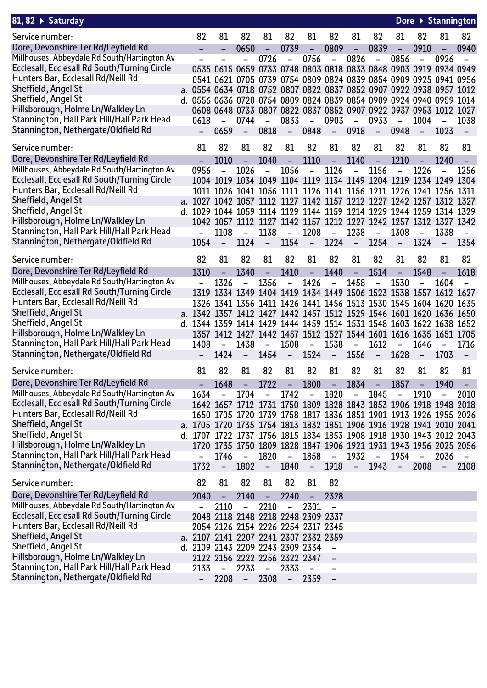| 81, 82 ▶ Saturday                            |                                                                     |                               |                          |                          |                          |                                                                  |                          |                          |                          |                          |                          | Dore ▶ Stannington       |                          |
|----------------------------------------------|---------------------------------------------------------------------|-------------------------------|--------------------------|--------------------------|--------------------------|------------------------------------------------------------------|--------------------------|--------------------------|--------------------------|--------------------------|--------------------------|--------------------------|--------------------------|
| Service number:                              | 82                                                                  | 81                            | 82                       | 81                       | 82                       | 81                                                               | 82                       | 81                       | 82                       | 81                       | 82                       | 81                       | 82                       |
| Dore, Devonshire Ter Rd/Leyfield Rd          |                                                                     | -                             | 0650                     | $\overline{\phantom{a}}$ | 0739                     | $\overline{\phantom{a}}$                                         | 0809                     | $\overline{\phantom{a}}$ | 0839                     | $\overline{\phantom{a}}$ | 0910                     | $\overline{\phantom{0}}$ | 0940                     |
| Millhouses, Abbeydale Rd South/Hartington Av |                                                                     |                               |                          | 0726                     | $\overline{\phantom{0}}$ | 0756                                                             | $\overline{\phantom{a}}$ | 0826                     | $\qquad \qquad -$        | 0856                     |                          | 0926                     |                          |
| Ecclesall, Ecclesall Rd South/Turning Circle |                                                                     |                               |                          |                          |                          | 0535 0615 0659 0733 0748 0803 0818 0833 0848 0903 0919 0934 0949 |                          |                          |                          |                          |                          |                          |                          |
| Hunters Bar, Ecclesall Rd/Neill Rd           |                                                                     |                               |                          |                          |                          | 0541 0621 0705 0739 0754 0809 0824 0839 0854 0909 0925 0941 0956 |                          |                          |                          |                          |                          |                          |                          |
| Sheffield, Angel St                          | a. 0554 0634 0718 0752 0807 0822 0837 0852 0907 0922 0938 0957 1012 |                               |                          |                          |                          |                                                                  |                          |                          |                          |                          |                          |                          |                          |
| Sheffield, Angel St                          | d. 0556 0636 0720 0754 0809 0824 0839 0854 0909 0924 0940 0959 1014 |                               |                          |                          |                          |                                                                  |                          |                          |                          |                          |                          |                          |                          |
| Hillsborough, Holme Ln/Walkley Ln            |                                                                     |                               |                          |                          |                          | 0608 0648 0733 0807 0822 0837 0852 0907 0922 0937 0953 1012      |                          |                          |                          |                          |                          |                          | 1027                     |
| Stannington, Hall Park Hill/Hall Park Head   | 0618                                                                |                               | 0744                     |                          | 0833                     | -                                                                | 0903                     | $\overline{\phantom{0}}$ | 0933                     |                          | 1004                     |                          | 1038                     |
| Stannington, Nethergate/Oldfield Rd          |                                                                     | 0659                          | $\qquad \qquad -$        | 0818                     | $\overline{\phantom{a}}$ | 0848                                                             | $\qquad \qquad -$        | 0918                     | $\qquad \qquad -$        | 0948                     | $\overline{\phantom{a}}$ | 1023                     | $\overline{\phantom{m}}$ |
| Service number:                              | 81                                                                  | 82                            | 81                       | 82                       | 81                       | 82                                                               | 81                       | 82                       | 81                       | 82                       | 81                       | 82                       | 81                       |
| Dore, Devonshire Ter Rd/Leyfield Rd          |                                                                     | 1010                          | $\qquad \qquad -$        | 1040                     | $\overline{\phantom{0}}$ | 1110                                                             | $\overline{\phantom{0}}$ | 1140                     | -                        | 1210                     |                          | 1240                     |                          |
| Millhouses, Abbeydale Rd South/Hartington Av | 0956                                                                |                               | 1026                     | -                        | 1056                     | $\qquad \qquad -$                                                | 1126                     | $\qquad \qquad -$        | 1156                     |                          | 1226                     |                          | 1256                     |
| Ecclesall, Ecclesall Rd South/Turning Circle |                                                                     |                               |                          |                          |                          | 1004 1019 1034 1049 1104 1119 1134 1149 1204 1219 1234 1249      |                          |                          |                          |                          |                          |                          | 1304                     |
| Hunters Bar, Ecclesall Rd/Neill Rd           | 1011.                                                               |                               |                          |                          |                          | 1026 1041 1056 1111 1126 1141 1156 1211 1226 1241 1256 1311      |                          |                          |                          |                          |                          |                          |                          |
| Sheffield, Angel St                          | a. 1027                                                             |                               |                          |                          |                          | 1042 1057 1112 1127 1142 1157 1212 1227 1242 1257 1312 1327      |                          |                          |                          |                          |                          |                          |                          |
| Sheffield, Angel St                          | d. 1029 1044 1059 1114 1129 1144 1159 1214 1229 1244 1259 1314 1329 |                               |                          |                          |                          |                                                                  |                          |                          |                          |                          |                          |                          |                          |
| Hillsborough, Holme Ln/Walkley Ln            |                                                                     |                               |                          |                          |                          | 1042 1057 1112 1127 1142 1157 1212 1227 1242 1257 1312 1327 1342 |                          |                          |                          |                          |                          |                          |                          |
| Stannington, Hall Park Hill/Hall Park Head   |                                                                     | 1108                          | $\overline{\phantom{0}}$ | 1138                     | $\overline{\phantom{0}}$ | 1208                                                             | $\equiv$                 | 1238                     | $\overline{a}$           | 1308                     |                          | 1338                     |                          |
| Stannington, Nethergate/Oldfield Rd          | 1054                                                                |                               | 1124                     | $\qquad \qquad -$        | 1154                     | -                                                                | 1224                     | $\qquad \qquad -$        | 1254                     |                          | 1324                     |                          | 1354                     |
| Service number:                              | 82                                                                  | 81                            | 82                       | 81                       | 82                       | 81                                                               | 82                       | 81                       | 82                       | 81                       | 82                       | 81                       | 82                       |
| Dore, Devonshire Ter Rd/Leyfield Rd          | 1310                                                                |                               | 1340                     | $\overline{\phantom{0}}$ | 1410                     | $\overline{\phantom{0}}$                                         | 1440                     | $\qquad \qquad -$        | 1514                     | $\equiv$                 | 1548                     |                          | 1618                     |
| Millhouses, Abbeydale Rd South/Hartington Av |                                                                     | 1326                          |                          | 1356                     | $\overline{\phantom{0}}$ | 1426                                                             | $\overline{\phantom{0}}$ | 1458                     | $\overline{\phantom{0}}$ | 1530                     |                          | 1604                     |                          |
| Ecclesall, Ecclesall Rd South/Turning Circle | 1319                                                                |                               |                          |                          |                          | 1334 1349 1404 1419 1434 1449 1506 1523 1538 1557 1612 1627      |                          |                          |                          |                          |                          |                          |                          |
| Hunters Bar, Ecclesall Rd/Neill Rd           |                                                                     |                               |                          |                          |                          | 1326 1341 1356 1411 1426 1441 1456 1513 1530 1545 1604 1620 1635 |                          |                          |                          |                          |                          |                          |                          |
| Sheffield, Angel St                          | a. 1342 1357 1412 1427 1442 1457 1512 1529 1546 1601 1620 1636 1650 |                               |                          |                          |                          |                                                                  |                          |                          |                          |                          |                          |                          |                          |
| Sheffield, Angel St                          | d. 1344 1359 1414 1429 1444 1459 1514 1531 1548 1603 1622 1638 1652 |                               |                          |                          |                          |                                                                  |                          |                          |                          |                          |                          |                          |                          |
| Hillsborough, Holme Ln/Walkley Ln            |                                                                     |                               |                          |                          |                          | 1357 1412 1427 1442 1457 1512 1527 1544 1601 1616 1635 1651 1705 |                          |                          |                          |                          |                          |                          |                          |
| Stannington, Hall Park Hill/Hall Park Head   | 1408                                                                | $\overline{\phantom{0}}$      | 1438                     | $\overline{\phantom{a}}$ | 1508                     | $\overline{\phantom{m}}$                                         | 1538                     | $\qquad \qquad -$        | 1612                     |                          | 1646                     |                          | 1716                     |
| Stannington, Nethergate/Oldfield Rd          |                                                                     | 1424                          | $\qquad \qquad -$        | 1454                     | $\overline{\phantom{a}}$ | 1524                                                             | $\overline{\phantom{a}}$ | 1556                     | $\overline{\phantom{a}}$ | 1628                     | $\overline{\phantom{a}}$ | 1703                     | $\overline{\phantom{m}}$ |
| Service number:                              | 81                                                                  | 82                            | 81                       | 82                       | 81                       | 82                                                               | 81                       | 82                       | 81                       | 82                       | 81                       | 82                       | 81                       |
| Dore, Devonshire Ter Rd/Leyfield Rd          |                                                                     | 1648                          |                          | 1722                     |                          | 1800                                                             | $\sim$                   | 1834                     |                          | 1857                     |                          | 1940                     |                          |
| Millhouses, Abbeydale Rd South/Hartington Av | 1634                                                                | $\overline{\phantom{0}}$      | 1704                     |                          | 1742                     | -                                                                | 1820                     | $\overline{\phantom{a}}$ | 1845                     |                          | 1910                     |                          | 2010                     |
| Ecclesall, Ecclesall Rd South/Turning Circle |                                                                     |                               |                          |                          |                          | 1642 1657 1712 1731 1750 1809 1828 1843 1853 1906 1918 1948 2018 |                          |                          |                          |                          |                          |                          |                          |
| Hunters Bar, Ecclesall Rd/Neill Rd           |                                                                     |                               |                          |                          |                          | 1650 1705 1720 1739 1758 1817 1836 1851 1901 1913 1926 1955 2026 |                          |                          |                          |                          |                          |                          |                          |
| Sheffield, Angel St                          | a. 1705 1720 1735 1754 1813 1832 1851 1906 1916 1928 1941 2010 2041 |                               |                          |                          |                          |                                                                  |                          |                          |                          |                          |                          |                          |                          |
| Sheffield, Angel St                          | d. 1707 1722 1737 1756 1815 1834 1853 1908 1918 1930 1943 2012 2043 |                               |                          |                          |                          |                                                                  |                          |                          |                          |                          |                          |                          |                          |
| Hillsborough, Holme Ln/Walkley Ln            |                                                                     |                               |                          |                          |                          | 1720 1735 1750 1809 1828 1847 1906 1921 1931 1943 1956 2025 2056 |                          |                          |                          |                          |                          |                          |                          |
| Stannington, Hall Park Hill/Hall Park Head   |                                                                     | 1746                          | $\overline{\phantom{0}}$ | 1820                     | $\equiv$                 | 1858                                                             | $\sim$ $ \sim$           | 1932                     | $\equiv$                 | 1954                     | $\overline{\phantom{a}}$ | 2036                     | $\overline{\phantom{m}}$ |
| Stannington, Nethergate/Oldfield Rd          | 1732                                                                | $\overline{\phantom{a}}$      | 1802                     | $\overline{\phantom{a}}$ | 1840                     | $ \,$                                                            | 1918                     | $\sim$ $-$               | 1943                     | $ \,$                    | 2008                     | $\overline{\phantom{m}}$ | 2108                     |
| Service number:                              | 82                                                                  | 81                            | 82                       | 81                       | 82                       | 81                                                               | 82                       |                          |                          |                          |                          |                          |                          |
| Dore, Devonshire Ter Rd/Leyfield Rd          | 2040                                                                | $\qquad \qquad -$             | 2140                     | $\overline{\phantom{a}}$ | 2240                     | -                                                                | 2328                     |                          |                          |                          |                          |                          |                          |
| Millhouses, Abbeydale Rd South/Hartington Av |                                                                     | 2110                          | $\overline{\phantom{0}}$ | 2210                     | $\qquad \qquad -$        | 2301                                                             | $\qquad \qquad -$        |                          |                          |                          |                          |                          |                          |
| Ecclesall, Ecclesall Rd South/Turning Circle |                                                                     |                               |                          |                          |                          | 2048 2118 2148 2218 2248 2309 2337                               |                          |                          |                          |                          |                          |                          |                          |
| Hunters Bar, Ecclesall Rd/Neill Rd           |                                                                     |                               |                          |                          |                          | 2054 2126 2154 2226 2254 2317 2345                               |                          |                          |                          |                          |                          |                          |                          |
| Sheffield, Angel St                          | a. 2107 2141 2207 2241 2307 2332 2359                               |                               |                          |                          |                          |                                                                  |                          |                          |                          |                          |                          |                          |                          |
| Sheffield, Angel St                          | d. 2109 2143 2209 2243 2309 2334                                    |                               |                          |                          |                          |                                                                  | $\qquad \qquad -$        |                          |                          |                          |                          |                          |                          |
| Hillsborough, Holme Ln/Walkley Ln            |                                                                     | 2122 2156 2222 2256 2322 2347 |                          |                          |                          |                                                                  | $\qquad \qquad -$        |                          |                          |                          |                          |                          |                          |
| Stannington, Hall Park Hill/Hall Park Head   | 2133                                                                | $\qquad \qquad -$             | 2233                     | $\qquad \qquad -$        | 2333                     | $\overline{\phantom{a}}$                                         | -                        |                          |                          |                          |                          |                          |                          |
| Stannington, Nethergate/Oldfield Rd          |                                                                     | 2208                          | $\qquad \qquad -$        | 2308                     | $\overline{\phantom{a}}$ | 2359                                                             | $\overline{\phantom{m}}$ |                          |                          |                          |                          |                          |                          |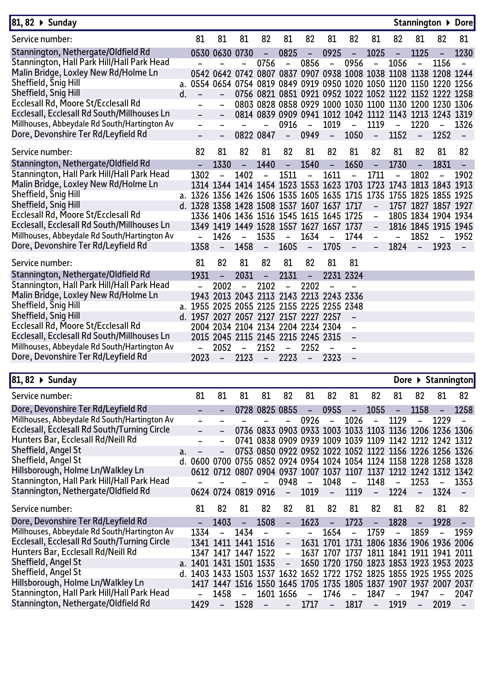| 81, 82 ▶ Sunday                              |    |                                                                     |                                    |                          |                          |                          |                          |                                                                  |                          |                          |                |                          |                     | Stannington ▶ Dore       |
|----------------------------------------------|----|---------------------------------------------------------------------|------------------------------------|--------------------------|--------------------------|--------------------------|--------------------------|------------------------------------------------------------------|--------------------------|--------------------------|----------------|--------------------------|---------------------|--------------------------|
| Service number:                              |    | 81                                                                  | 81                                 | 81                       | 82                       | 81                       | 82                       | 81                                                               | 82                       | 81                       | 82             | 81                       | 82                  | 81                       |
| Stannington, Nethergate/Oldfield Rd          |    |                                                                     | 0530 0630 0730                     |                          |                          | 0825                     | -                        | 0925                                                             |                          | 1025                     |                | 1125                     |                     | 1230                     |
| Stannington, Hall Park Hill/Hall Park Head   |    |                                                                     |                                    |                          | 0756                     | $\overline{\phantom{0}}$ | 0856                     | $\qquad \qquad -$                                                | 0956                     | $\overline{\phantom{0}}$ | 1056           |                          | 1156                |                          |
| Malin Bridge, Loxley New Rd/Holme Ln         |    |                                                                     |                                    |                          |                          |                          |                          | 0542 0642 0742 0807 0837 0907 0938 1008 1038 1108 1138 1208 1244 |                          |                          |                |                          |                     |                          |
| Sheffield, Snig Hill                         |    | a. 0554 0654 0754 0819 0849 0919 0950 1020 1050 1120 1150 1220 1256 |                                    |                          |                          |                          |                          |                                                                  |                          |                          |                |                          |                     |                          |
| Sheffield, Snig Hill                         | d. |                                                                     |                                    |                          |                          |                          |                          | 0756 0821 0851 0921 0952 1022 1052 1122 1152 1222 1258           |                          |                          |                |                          |                     |                          |
| Ecclesall Rd, Moore St/Ecclesall Rd          |    |                                                                     |                                    |                          |                          |                          |                          | 0803 0828 0858 0929 1000 1030 1100 1130 1200 1230 1306           |                          |                          |                |                          |                     |                          |
| Ecclesall, Ecclesall Rd South/Millhouses Ln  |    |                                                                     |                                    |                          |                          |                          |                          | 0814 0839 0909 0941 1012 1042 1112 1143 1213 1243 1319           |                          |                          |                |                          |                     |                          |
| Millhouses, Abbeydale Rd South/Hartington Av |    |                                                                     |                                    |                          |                          | 0916                     | $\overline{\phantom{a}}$ | 1019                                                             | $\overline{\phantom{0}}$ | 1119                     | $\blacksquare$ | 1220                     |                     | 1326                     |
| Dore, Devonshire Ter Rd/Leyfield Rd          |    |                                                                     |                                    |                          | 0822 0847                | $\overline{\phantom{0}}$ | 0949                     | $\overline{\phantom{a}}$                                         | 1050                     | $\overline{\phantom{a}}$ | 1152           | $\qquad \qquad -$        | 1252                | $\overline{\phantom{0}}$ |
| Service number:                              |    | 82                                                                  | 81                                 | 82                       | 81                       | 82                       | 81                       | 82                                                               | 81                       | 82                       | 81             | 82                       | 81                  | 82                       |
| Stannington, Nethergate/Oldfield Rd          |    |                                                                     | 1330                               | $\qquad \qquad -$        | 1440                     | $\overline{\phantom{a}}$ | 1540                     | $\overline{\phantom{a}}$                                         | 1650                     | $\equiv$                 | 1730           | $\overline{\phantom{a}}$ | 1831                |                          |
| Stannington, Hall Park Hill/Hall Park Head   |    | 1302                                                                |                                    | 1402                     | $\overline{\phantom{0}}$ | 1511                     | $\overline{\phantom{0}}$ | 1611                                                             |                          | 1711                     | -              | 1802                     |                     | 1902                     |
| Malin Bridge, Loxley New Rd/Holme Ln         |    |                                                                     |                                    |                          |                          |                          |                          | 1314 1344 1414 1454 1523 1553 1623 1703 1723 1743 1813 1843 1913 |                          |                          |                |                          |                     |                          |
| Sheffield, Snig Hill                         |    | a. 1326 1356 1426 1506 1535 1605 1635 1715 1735 1755 1825 1855 1925 |                                    |                          |                          |                          |                          |                                                                  |                          |                          |                |                          |                     |                          |
| Sheffield, Snig Hill                         |    | d. 1328 1358 1428 1508 1537 1607 1637 1717                          |                                    |                          |                          |                          |                          |                                                                  |                          | $\overline{\phantom{a}}$ |                |                          | 1757 1827 1857 1927 |                          |
| Ecclesall Rd, Moore St/Ecclesall Rd          |    |                                                                     |                                    |                          |                          |                          |                          | 1336 1406 1436 1516 1545 1615 1645 1725                          |                          | $\blacksquare$           |                |                          | 1805 1834 1904 1934 |                          |
| Ecclesall, Ecclesall Rd South/Millhouses Ln  |    |                                                                     |                                    |                          |                          |                          |                          | 1349 1419 1449 1528 1557 1627 1657 1737                          |                          | $\overline{\phantom{0}}$ |                |                          | 1816 1845 1915 1945 |                          |
| Millhouses, Abbeydale Rd South/Hartington Av |    |                                                                     | 1426                               | $\overline{\phantom{0}}$ | 1535                     | $\blacksquare$           | 1634                     | $\overline{\phantom{0}}$                                         | 1744                     | $\equiv$                 | -              | 1852                     |                     | 1952                     |
| Dore, Devonshire Ter Rd/Leyfield Rd          |    | 1358                                                                | $\overline{a}$                     | 1458                     | $\overline{\phantom{a}}$ | 1605                     | $\overline{\phantom{a}}$ | 1705                                                             | $\qquad \qquad -$        | $\overline{\phantom{a}}$ | 1824           | $\overline{\phantom{a}}$ | 1923                | $\overline{\phantom{a}}$ |
| Service number:                              |    | 81                                                                  | 82                                 | 81                       | 82                       | 81                       | 82                       | 81                                                               | 81                       |                          |                |                          |                     |                          |
| Stannington, Nethergate/Oldfield Rd          |    | 1931                                                                |                                    | 2031                     |                          | 2131                     |                          |                                                                  | 2231 2324                |                          |                |                          |                     |                          |
| Stannington, Hall Park Hill/Hall Park Head   |    |                                                                     | 2002                               | -                        | 2102                     | $\overline{\phantom{0}}$ | 2202                     |                                                                  |                          |                          |                |                          |                     |                          |
| Malin Bridge, Loxley New Rd/Holme Ln         |    |                                                                     |                                    |                          |                          |                          |                          | 1943 2013 2043 2113 2143 2213 2243 2336                          |                          |                          |                |                          |                     |                          |
| Sheffield, Snig Hill                         |    | a. 1955 2025 2055 2125 2155 2225 2255 2348                          |                                    |                          |                          |                          |                          |                                                                  |                          |                          |                |                          |                     |                          |
| Sheffield, Snig Hill                         |    | d. 1957 2027 2057 2127 2157 2227 2257                               |                                    |                          |                          |                          |                          |                                                                  |                          |                          |                |                          |                     |                          |
| Ecclesall Rd, Moore St/Ecclesall Rd          |    |                                                                     | 2004 2034 2104 2134 2204 2234 2304 |                          |                          |                          |                          |                                                                  | $\overline{\phantom{0}}$ |                          |                |                          |                     |                          |
| Ecclesall, Ecclesall Rd South/Millhouses Ln  |    |                                                                     | 2015 2045 2115 2145 2215 2245 2315 |                          |                          |                          |                          |                                                                  | $\qquad \qquad -$        |                          |                |                          |                     |                          |
| Millhouses, Abbeydale Rd South/Hartington Av |    |                                                                     | 2052                               | $\overline{\phantom{0}}$ | 2152                     | $\overline{a}$           | 2252                     | $\overline{\phantom{0}}$                                         | $\overline{\phantom{0}}$ |                          |                |                          |                     |                          |
| Dore, Devonshire Ter Rd/Leyfield Rd          |    | 2023                                                                | $\equiv$                           | 2123                     | $\equiv$                 | 2223                     | $\equiv$                 | 2323                                                             |                          |                          |                |                          |                     |                          |
|                                              |    |                                                                     |                                    |                          |                          |                          |                          |                                                                  |                          |                          |                |                          |                     |                          |
| 81, 82 ▶ Sunday                              |    |                                                                     |                                    |                          |                          |                          |                          |                                                                  |                          |                          |                |                          |                     | Dore ▶ Stannington       |
| Service number:                              |    | 81                                                                  | 81                                 | 81                       | 81                       | 82                       | 81                       | 82                                                               | 81                       | 82                       | 81             | 82                       | 81                  | 82                       |

|    | 81                                                                                           | 81                              | 81                       | 81                       | 82                                                    | 81                  | 82       | 81           | 82                                                                               | 81                                  | 82                                                                                                 | 81                                   | 82                                                                                                                                                                                                                                                                                                                                                                                                                                                                                                                                                                                                                                               |
|----|----------------------------------------------------------------------------------------------|---------------------------------|--------------------------|--------------------------|-------------------------------------------------------|---------------------|----------|--------------|----------------------------------------------------------------------------------|-------------------------------------|----------------------------------------------------------------------------------------------------|--------------------------------------|--------------------------------------------------------------------------------------------------------------------------------------------------------------------------------------------------------------------------------------------------------------------------------------------------------------------------------------------------------------------------------------------------------------------------------------------------------------------------------------------------------------------------------------------------------------------------------------------------------------------------------------------------|
|    |                                                                                              |                                 |                          |                          |                                                       |                     |          |              |                                                                                  | $\overline{\phantom{a}}$            |                                                                                                    | $\equiv$                             | 1258                                                                                                                                                                                                                                                                                                                                                                                                                                                                                                                                                                                                                                             |
|    | $\overline{a}$                                                                               |                                 |                          | $\overline{\phantom{a}}$ | $-$                                                   |                     |          |              |                                                                                  |                                     | $\equiv$                                                                                           |                                      |                                                                                                                                                                                                                                                                                                                                                                                                                                                                                                                                                                                                                                                  |
|    |                                                                                              |                                 |                          |                          |                                                       |                     |          |              |                                                                                  |                                     |                                                                                                    |                                      |                                                                                                                                                                                                                                                                                                                                                                                                                                                                                                                                                                                                                                                  |
|    |                                                                                              |                                 |                          |                          |                                                       |                     |          |              |                                                                                  |                                     |                                                                                                    |                                      |                                                                                                                                                                                                                                                                                                                                                                                                                                                                                                                                                                                                                                                  |
|    | $\equiv$                                                                                     | $\equiv$                        |                          |                          |                                                       |                     |          |              |                                                                                  |                                     |                                                                                                    |                                      |                                                                                                                                                                                                                                                                                                                                                                                                                                                                                                                                                                                                                                                  |
|    |                                                                                              |                                 |                          |                          |                                                       |                     |          |              |                                                                                  |                                     |                                                                                                    |                                      |                                                                                                                                                                                                                                                                                                                                                                                                                                                                                                                                                                                                                                                  |
|    |                                                                                              |                                 |                          |                          |                                                       |                     |          |              |                                                                                  |                                     |                                                                                                    |                                      |                                                                                                                                                                                                                                                                                                                                                                                                                                                                                                                                                                                                                                                  |
|    |                                                                                              |                                 |                          |                          |                                                       |                     |          |              |                                                                                  | $\equiv$                            |                                                                                                    | $\overline{\phantom{a}}$             | 1353                                                                                                                                                                                                                                                                                                                                                                                                                                                                                                                                                                                                                                             |
|    |                                                                                              |                                 |                          |                          |                                                       |                     |          |              |                                                                                  |                                     |                                                                                                    |                                      |                                                                                                                                                                                                                                                                                                                                                                                                                                                                                                                                                                                                                                                  |
|    |                                                                                              |                                 | 81                       | 82                       | 82                                                    | 81                  | 82       | -81          | 82                                                                               | 81                                  | 82                                                                                                 | 81                                   | 82                                                                                                                                                                                                                                                                                                                                                                                                                                                                                                                                                                                                                                               |
|    |                                                                                              | 1403                            | $\overline{\phantom{a}}$ | 1508                     | $\equiv$                                              |                     | $\equiv$ |              | $\equiv$ .                                                                       |                                     | $\sim$                                                                                             |                                      |                                                                                                                                                                                                                                                                                                                                                                                                                                                                                                                                                                                                                                                  |
|    | 1334                                                                                         |                                 |                          |                          | $\overline{a}$                                        | $\equiv$            |          |              |                                                                                  |                                     |                                                                                                    | $\sim$                               | 1959                                                                                                                                                                                                                                                                                                                                                                                                                                                                                                                                                                                                                                             |
|    |                                                                                              |                                 |                          |                          |                                                       |                     |          |              |                                                                                  |                                     |                                                                                                    |                                      |                                                                                                                                                                                                                                                                                                                                                                                                                                                                                                                                                                                                                                                  |
|    |                                                                                              |                                 |                          |                          | $\equiv$                                              |                     |          |              |                                                                                  |                                     |                                                                                                    |                                      |                                                                                                                                                                                                                                                                                                                                                                                                                                                                                                                                                                                                                                                  |
|    |                                                                                              |                                 |                          |                          | $\sim$                                                |                     |          |              |                                                                                  |                                     |                                                                                                    |                                      |                                                                                                                                                                                                                                                                                                                                                                                                                                                                                                                                                                                                                                                  |
| d. |                                                                                              |                                 |                          |                          |                                                       |                     |          |              |                                                                                  |                                     |                                                                                                    |                                      |                                                                                                                                                                                                                                                                                                                                                                                                                                                                                                                                                                                                                                                  |
|    |                                                                                              |                                 |                          |                          |                                                       |                     |          |              |                                                                                  |                                     |                                                                                                    |                                      |                                                                                                                                                                                                                                                                                                                                                                                                                                                                                                                                                                                                                                                  |
|    | $\qquad \qquad -$                                                                            |                                 | $\equiv$                 |                          |                                                       |                     |          |              |                                                                                  | $\equiv$                            |                                                                                                    | $-$                                  | 2047                                                                                                                                                                                                                                                                                                                                                                                                                                                                                                                                                                                                                                             |
|    | 1429                                                                                         | $ \,$                           |                          | $\overline{\phantom{a}}$ |                                                       |                     |          |              |                                                                                  |                                     |                                                                                                    |                                      |                                                                                                                                                                                                                                                                                                                                                                                                                                                                                                                                                                                                                                                  |
|    | Millhouses, Abbeydale Rd South/Hartington Av<br>Millhouses, Abbeydale Rd South/Hartington Av | a.<br>$\mathsf{d}_{\mathsf{L}}$ | 81 82                    | - 1434<br>1458<br>1528   | $ -$<br>1341 1411 1441 1516<br>a. 1401 1431 1501 1535 | 1347 1417 1447 1522 |          | 0926<br>1623 | 0624 0724 0819 0916 - 1019 - 1119<br>1723<br>1654<br>$\mathcal{L} = \mathcal{L}$ | $- 1026$<br>1759<br>$- 1717 - 1817$ | 0728 0825 0855 - 0955 - 1055<br>$-1129$<br>- 0948 - 1048 - 1148<br>1828<br>1601 1656 - 1746 - 1847 | - 1253<br>- 1859<br>1947<br>$- 1919$ | 1158<br>1229<br>0736 0833 0903 0933 1003 1033 1103 1136 1206 1236 1306<br>0741 0838 0909 0939 1009 1039 1109 1142 1212 1242 1312<br>0753 0850 0922 0952 1022 1052 1122 1156 1226 1256 1326<br>0600 0700 0755 0852 0924 0954 1024 1054 1124 1158 1228 1258 1328<br>0612 0712 0807 0904 0937 1007 1037 1107 1137 1212 1242 1312 1342<br>- 1224 - 1324<br>1928<br>- 1631 1701 1731 1806 1836 1906 1936 2006<br>1637 1707 1737 1811 1841 1911 1941 2011<br>1650 1720 1750 1823 1853 1923 1953 2023<br>1403 1433 1503 1537 1632 1652 1722 1752 1825 1855 1925 1955 2025<br>1417 1447 1516 1550 1645 1705 1735 1805 1837 1907 1937 2007 2037<br>- 2019 |